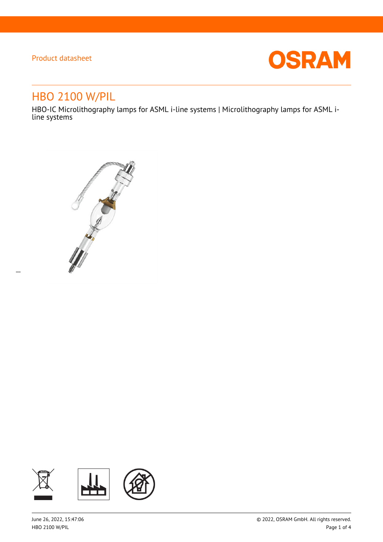$\overline{a}$ 



# HBO 2100 W/PIL

HBO-IC Microlithography lamps for ASML i-line systems | Microlithography lamps for ASML iline systems



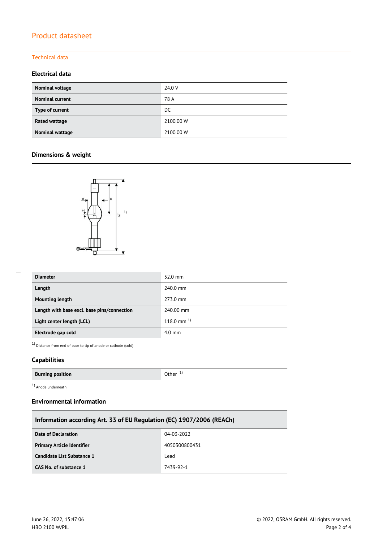### Technical data

### **Electrical data**

| Nominal voltage        | 24.0 V    |
|------------------------|-----------|
| <b>Nominal current</b> | 78 A      |
| Type of current        | DC        |
| Rated wattage          | 2100.00 W |
| Nominal wattage        | 2100.00 W |

## **Dimensions & weight**



| <b>Diameter</b>                             | $52.0 \text{ mm}$ |
|---------------------------------------------|-------------------|
| Length                                      | 240.0 mm          |
| <b>Mounting length</b>                      | 273.0 mm          |
| Length with base excl. base pins/connection | 240.00 mm         |
| Light center length (LCL)                   | $118.0$ mm $^{1}$ |
| Electrode gap cold                          | $4.0 \text{ mm}$  |

1) Distance from end of base to tip of anode or cathode (cold)

### **Capabilities**

| <b>Burning position</b> | .Jther |
|-------------------------|--------|

1) Anode underneath

### **Environmental information**

| Information according Art. 33 of EU Regulation (EC) 1907/2006 (REACh) |               |  |  |
|-----------------------------------------------------------------------|---------------|--|--|
| Date of Declaration                                                   | 04-03-2022    |  |  |
| <b>Primary Article Identifier</b>                                     | 4050300800431 |  |  |
| Candidate List Substance 1                                            | Lead          |  |  |
| CAS No. of substance 1                                                | 7439-92-1     |  |  |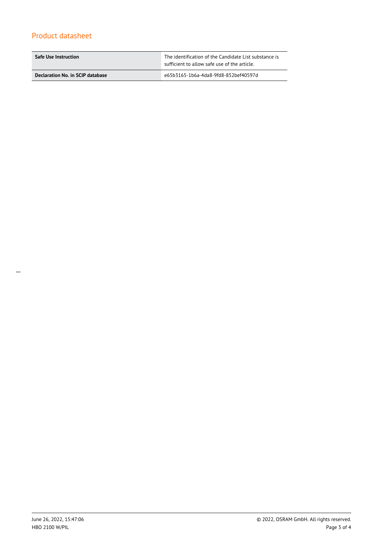| <b>Safe Use Instruction</b>      | The identification of the Candidate List substance is<br>sufficient to allow safe use of the article. |
|----------------------------------|-------------------------------------------------------------------------------------------------------|
| Declaration No. in SCIP database | e65b3165-1b6a-4da8-9fd8-852bef40597d                                                                  |